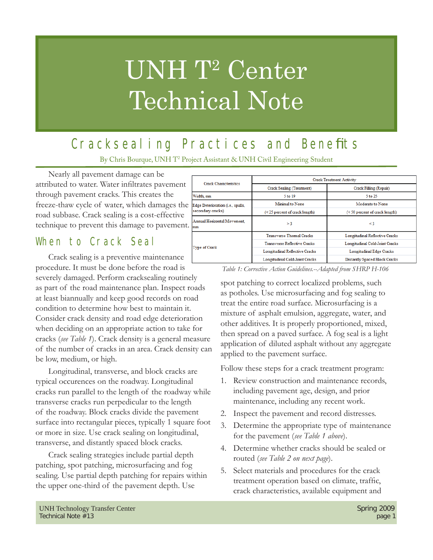# UNH T<sup>2</sup> Center Technical Note

## Cracksealing Practices and Benefits

By Chris Bourque, UNH T2 Project Assistant & UNH Civil Engineering Student

Nearly all pavement damage can be attributed to water. Water infiltrates pavement through pavement cracks. This creates the freeze-thaw cycle of water, which damages the road subbase. Crack sealing is a cost-effective technique to prevent this damage to pavement.

#### When to Crack Seal

Crack sealing is a preventive maintenance procedure. It must be done before the road is severely damaged. Perform cracksealing routinely as part of the road maintenance plan. Inspect roads at least biannually and keep good records on road condition to determine how best to maintain it. Consider crack density and road edge deterioration when deciding on an appropriate action to take for cracks (*see Table 1*). Crack density is a general measure of the number of cracks in an area. Crack density can be low, medium, or high.

Longitudinal, transverse, and block cracks are typical occurences on the roadway. Longitudinal cracks run parallel to the length of the roadway while transverse cracks run perpedicular to the length of the roadway. Block cracks divide the pavement surface into rectangular pieces, typically 1 square foot or more in size. Use crack sealing on longitudinal, transverse, and distantly spaced block cracks.

Crack sealing strategies include partial depth patching, spot patching, microsurfacing and fog sealing. Use partial depth patching for repairs within the upper one-third of the pavement depth. Use

| <b>Crack Characteristics</b>                           | <b>Crack Treatment Activity</b>     |                                  |
|--------------------------------------------------------|-------------------------------------|----------------------------------|
|                                                        | Crack Sealing (Treatment)           | Crack Filling (Repair)           |
| Width, mm                                              | $5$ to $19$                         | $5$ to $25$                      |
| Edge Deterioration (i.e., spalls,<br>secondary cracks) | Minimal to None                     | Moderate to None                 |
|                                                        | (< 25 percent of crack length)      | $(<$ 50 percent of crack length) |
| Annual Horizontal Movement.<br>mm                      | >3                                  | $\leq$ 3                         |
| Type of Crack                                          | <b>Transverse Thermal Cracks</b>    | Longitudinal Reflective Cracks   |
|                                                        | <b>Transverse Reflective Cracks</b> | Longitudinal Cold-Joint Cracks   |
|                                                        | Longitudinal Reflective Cracks      | Longitudinal Edge Cracks         |
|                                                        | Longitudinal Cold-Joint Cracks      | Distantly Spaced Block Cracks    |

*Table 1: Corrective Action Guidelines.--Adapted from SHRP H-106*

spot patching to correct localized problems, such as potholes. Use microsurfacing and fog sealing to treat the entire road surface. Microsurfacing is a mixture of asphalt emulsion, aggregate, water, and other additives. It is properly proportioned, mixed, then spread on a paved surface. A fog seal is a light application of diluted asphalt without any aggregate applied to the pavement surface.

Follow these steps for a crack treatment program:

- 1. Review construction and maintenance records, including pavement age, design, and prior maintenance, including any recent work.
- 2. Inspect the pavement and record distresses.
- 3. Determine the appropriate type of maintenance for the pavement (*see Table 1 above*).
- 4. Determine whether cracks should be sealed or routed (*see Table 2 on next page*).
- 5. Select materials and procedures for the crack treatment operation based on climate, traffic, crack characteristics, available equipment and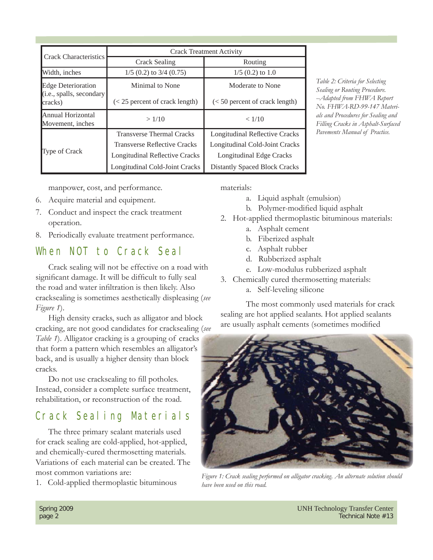| <b>Crack Characteristics</b>                                     | <b>Crack Treatment Activity</b>       |                                       |  |
|------------------------------------------------------------------|---------------------------------------|---------------------------------------|--|
|                                                                  | Crack Sealing                         | Routing                               |  |
| Width, inches                                                    | $1/5$ (0.2) to 3/4 (0.75)             | $1/5$ (0.2) to 1.0                    |  |
| <b>Edge Deterioration</b><br>(i.e., spalls, secondary<br>cracks) | Minimal to None                       | Moderate to None                      |  |
|                                                                  | $\approx$ 25 percent of crack length) | $(< 50$ percent of crack length)      |  |
| Annual Horizontal<br>Movement, inches                            | >1/10                                 | < 1/10                                |  |
| <b>Type of Crack</b>                                             | <b>Transverse Thermal Cracks</b>      | <b>Longitudinal Reflective Cracks</b> |  |
|                                                                  | <b>Transverse Reflective Cracks</b>   | Longitudinal Cold-Joint Cracks        |  |
|                                                                  | <b>Longitudinal Reflective Cracks</b> | Longitudinal Edge Cracks              |  |
|                                                                  | Longitudinal Cold-Joint Cracks        | <b>Distantly Spaced Block Cracks</b>  |  |

*Table 2: Criteria for Selecting Sealing or Routing Procedure. --Adapted from FHWA Report No. FHWA-RD-99-147 Materials and Procedures for Sealing and Filling Cracks in Asphalt-Surfaced Pavements Manual of Practice.*

manpower, cost, and performance.

- 6. Acquire material and equipment.
- 7. Conduct and inspect the crack treatment operation.
- 8. Periodically evaluate treatment performance.

#### When NOT to Crack Seal

Crack sealing will not be effective on a road with significant damage. It will be difficult to fully seal the road and water infiltration is then likely. Also cracksealing is sometimes aesthetically displeasing (*see Figure 1*).

High density cracks, such as alligator and block cracking, are not good candidates for cracksealing (*see Table 1*). Alligator cracking is a grouping of cracks that form a pattern which resembles an alligator's back, and is usually a higher density than block cracks.

Do not use cracksealing to fill potholes. Instead, consider a complete surface treatment, rehabilitation, or reconstruction of the road.

#### Crack Sealing Materials

The three primary sealant materials used for crack sealing are cold-applied, hot-applied, and chemically-cured thermosetting materials. Variations of each material can be created. The most common variations are:

1. Cold-applied thermoplastic bituminous

materials:

- a. Liquid asphalt (emulsion)
- b. Polymer-modified liquid asphalt
- 2. Hot-applied thermoplastic bituminous materials:
	- a. Asphalt cement
	- b. Fiberized asphalt
	- c. Asphalt rubber
	- d. Rubberized asphalt
	- e. Low-modulus rubberized asphalt
- 3. Chemically cured thermosetting materials:
	- a. Self-leveling silicone

 The most commonly used materials for crack sealing are hot applied sealants. Hot applied sealants are usually asphalt cements (sometimes modified



*Figure 1: Crack sealing performed on alligator cracking. An alternate solution should have been used on this road.*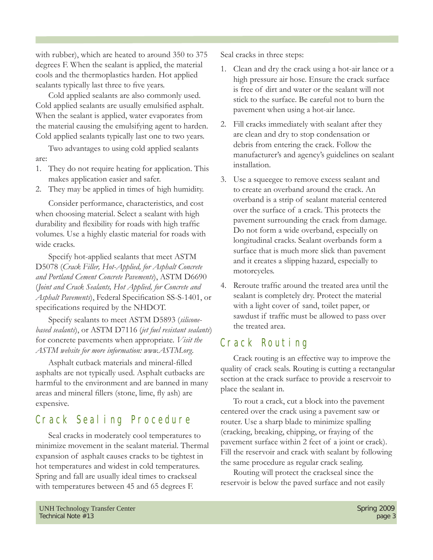with rubber), which are heated to around 350 to 375 degrees F. When the sealant is applied, the material cools and the thermoplastics harden. Hot applied sealants typically last three to five years.

Cold applied sealants are also commonly used. Cold applied sealants are usually emulsified asphalt. When the sealant is applied, water evaporates from the material causing the emulsifying agent to harden. Cold applied sealants typically last one to two years.

Two advantages to using cold applied sealants are:

- 1. They do not require heating for application. This makes application easier and safer.
- 2. They may be applied in times of high humidity.

Consider performance, characteristics, and cost when choosing material. Select a sealant with high durability and flexibility for roads with high traffic volumes. Use a highly elastic material for roads with wide cracks.

Specify hot-applied sealants that meet ASTM D5078 (*Crack Filler, Hot-Applied, for Asphalt Concrete and Portland Cement Concrete Pavements*), ASTM D6690 (*Joint and Crack Sealants, Hot Applied, for Concrete and Asphalt Pavements*), Federal Specification SS-S-1401, or specifications required by the NHDOT.

Specify sealants to meet ASTM D5893 (*siliconebased sealants*), or ASTM D7116 (*jet fuel resistant sealants*) for concrete pavements when appropriate. *Visit the ASTM website for more information: www.ASTM.org.*

Asphalt cutback materials and mineral-filled asphalts are not typically used. Asphalt cutbacks are harmful to the environment and are banned in many areas and mineral fillers (stone, lime, fly ash) are expensive.

#### Crack Sealing Procedure

Seal cracks in moderately cool temperatures to minimize movement in the sealant material. Thermal expansion of asphalt causes cracks to be tightest in hot temperatures and widest in cold temperatures. Spring and fall are usually ideal times to crackseal with temperatures between 45 and 65 degrees F.

Seal cracks in three steps:

- 1. Clean and dry the crack using a hot-air lance or a high pressure air hose. Ensure the crack surface is free of dirt and water or the sealant will not stick to the surface. Be careful not to burn the pavement when using a hot-air lance.
- 2. Fill cracks immediately with sealant after they are clean and dry to stop condensation or debris from entering the crack. Follow the manufacturer's and agency's guidelines on sealant installation.
- 3. Use a squeegee to remove excess sealant and to create an overband around the crack. An overband is a strip of sealant material centered over the surface of a crack. This protects the pavement surrounding the crack from damage. Do not form a wide overband, especially on longitudinal cracks. Sealant overbands form a surface that is much more slick than pavement and it creates a slipping hazard, especially to motorcycles.
- 4. Reroute traffic around the treated area until the sealant is completely dry. Protect the material with a light cover of sand, toilet paper, or sawdust if traffic must be allowed to pass over the treated area.

### Crack Routing

Crack routing is an effective way to improve the quality of crack seals. Routing is cutting a rectangular section at the crack surface to provide a reservoir to place the sealant in.

To rout a crack, cut a block into the pavement centered over the crack using a pavement saw or router. Use a sharp blade to minimize spalling (cracking, breaking, chipping, or fraying of the pavement surface within 2 feet of a joint or crack). Fill the reservoir and crack with sealant by following the same procedure as regular crack sealing.

Routing will protect the crackseal since the reservoir is below the paved surface and not easily